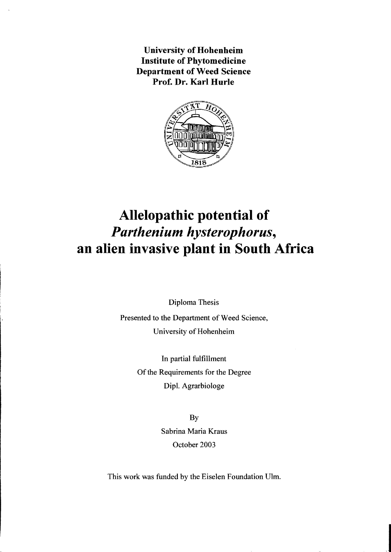**University of Hohenheim Institute of Phytomedicine Department of Weed Science Prof. Dr. Karl Hurle** 



## **Allelopathic potential of**  *Parthenium hysterophorus,*  **an allen invasive plant in South Africa**

Diplorna Thesis

Presented to the Department of Weed Science, University of Hohenheim

> In partial fulfillrnent Of the Requirements for the Degree Dipl. Agrarbiologe

> > By Sabrina Maria Kraus October 2003

This work was funded by the Eiselen Foundation Ulm.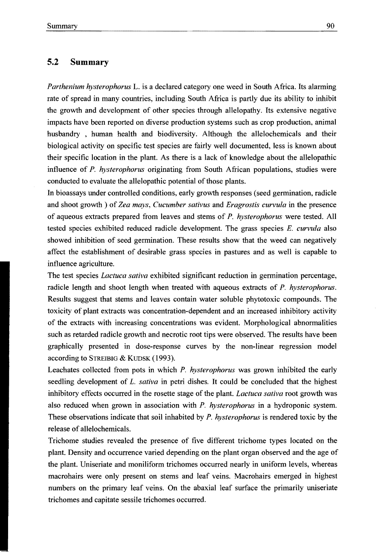## **5.2 Summary**

*Parthenium hysterophorus* L. is a declared category one weed in South Africa. Its alarming rate of spread in many countries, including South Africa is partly due its ability to inhibit the growth and development of other species through allelopathy. Its extensive negative impacts have been reported on diverse production systems such as crop production, animal husbandry , human health and biodiversity. Although the allelochemicals and their biological activity on specific test species are fairly weIl documented, less is known about their specific location in the plant. As there is a lack of knowledge about the allelopathic influence of *P. hysterophorus* originating from South African populations, studies were conducted to evaluate the allelopathic potential of those plants.

In bioassays under controlled conditions, early growth responses (seed germination, radicle and shoot growth ) of *Zea mays, Cucumber sativus* and *Eragrostis curvula* in the presence of aqueous extracts prepared from leaves and sterns of *P. hysterophorus* were tested. All tested species exhibited reduced radicle development. The grass species *E. curvula* also showed inhibition of seed germination. These results show that the weed can negatively affect the establishment of desirable grass species in pastures and as weIl is capable to influence agriculture.

The test species *Lactuca sativa* exhibited significant reduction in germination percentage, radicle length and shoot length when treated with aqueous extracts of *P. hysterophorus.*  Results suggest that sterns and leaves contain water soluble phytotoxic compounds. The toxicity of plant extracts was concentration-dependent and an increased inhibitory activity of the extracts with increasing concentrations was evident. Morphological abnormalities such as retarded radicle growth and necrotic root tips were observed. The results have been graphically presented in dose-response curves by the non-linear regression model according to STREIBIG & KUDSK (1993).

Leachates collected from pots in which *P. hysterophorus* was grown inhibited the early seedling development of *L. sativa* in petri dishes. It could be concluded that the highest inhibitory effects occurred in the rosette stage of the plant. *Lactuca sativa* root growth was also reduced when grown in association with *P. hysterophorus* in a hydroponic system. These observations indicate that soil inhabited by *P. hysterophorus* is rendered toxic by the release of allelochemicals.

Trichome studies revealed the presence of five different trichome types located on the plant. Density and occurrence varied depending on the plant organ observed and the age of the plant. Uniseriate and moniliform trichomes occurred nearly in uniform levels, whereas macrohairs were only present on sterns and leaf veins. Macrohairs emerged in highest numbers on the primary leaf veins. On the abaxial leaf surface the primarily uniseriate trichomes and capitate sessile trichomes occurred.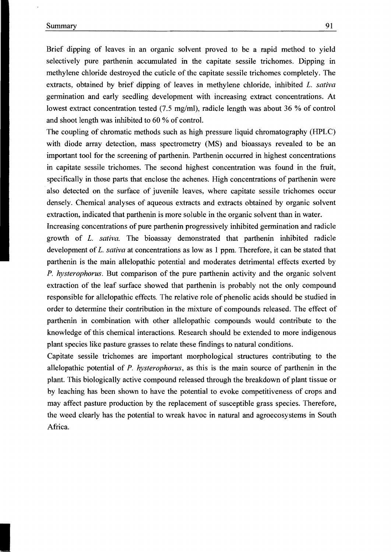Brief dipping of leaves in an organic solvent proved to be a rapid method to yield selectively pure parthenin accumulated in the capitate sessile trichomes. Dipping in methylene chloride destroyed the cuticle of the capitate sessile trichomes completely. The extracts, obtained by brief dipping of leaves in methylene chloride, inhibited *L. sativa*  gennination and early seedling development with increasing extract concentrations. At lowest extract concentration tested (7.5 mg/mI), radicle length was about 36 % of control and shoot length was inhibited to 60 % of control.

The coupling of chromatic methods such as high pressure liquid chromatography (HPLC) with diode array detection, mass spectrometry (MS) and bioassays revealed to be an important tool for the screening of parthenin. Parthenin occurred in highest concentrations in capitate sessile trichomes. The second highest concentration was found in the fruit, specifically in those parts that enclose the achenes. High concentrations of parthenin were also detected on the surface of juvenile leaves, where capitate sessile trichomes occur densely. Chemical analyses of aqueous extracts and extracts obtained by organic solvent extraction, indicated that parthenin is more soluble in the organic solvent than in water.

Increasing concentrations of pure parthenin progressively inhibited germination and radicle growth of *L. sativa*. The bioassay demonstrated that parthenin inhibited radicle development of *L. sativa* at concentrations as low as 1 ppm. Therefore, it can be stated that parthenin is the main allelopathic potential and moderates detrimental effects exerted by *P. hysterophorus.* But comparison of the pure parthenin activity and the organic solvent extraction of the leaf surface showed that parthenin is probably not the only compound responsible for allelopathic effects. The relative role of phenolic acids should be studied in order to detennine their contribution in the mixture of compounds released. The effect of parthenin in combination with other allelopathic compounds would contribute to the knowledge of this chemical interactions. Research should be extended to more indigenous plant species like pasture grasses to relate these findings to natural conditions.

Capitate sessile trichomes are important morphological structures contributing to the allelopathic potential of *P. hysterophorus,* as this is the main source of parthenin in the plant. Tbis biologically active compound released through the breakdown of plant tissue or by leaching has been shown to have the potential to evoke competitiveness of crops and may affect pasture production by the replacement of susceptible grass species. Therefore, the weed clearly has the potential to wreak havoc in natural and agroecosystems in South Africa.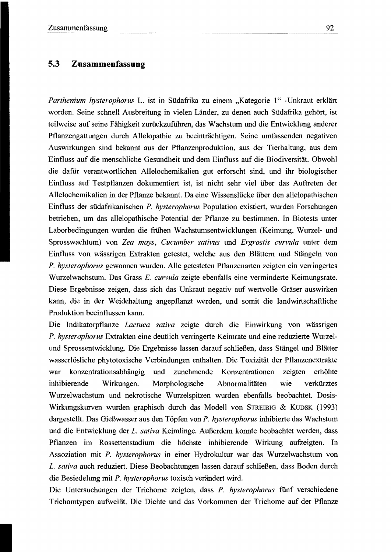## **5.3 Zusammenfassung**

Parthenium hysterophorus L. ist in Südafrika zu einem "Kategorie 1" -Unkraut erklärt worden. Seine schnell Ausbreitung in vielen Länder, zu denen auch Südafrika gehört, ist teilweise auf seine Fähigkeit zurückzufiihren, das Wachstum und die Entwicklung anderer Pflanzengattungen durch Allelopathie zu beeinträchtigen. Seine umfassenden negativen Auswirkungen sind bekannt aus der Pflanzenproduktion, aus der Tierhaltung, aus dem Einfluss auf die menschliche Gesundheit und dem Einfluss auf die Biodiversität. Obwohl die dafiir verantwortlichen Allelochemikalien gut erforscht sind, und ihr biologischer Einfluss auf Testpflanzen dokumentiert ist, ist nicht sehr viel über das Auftreten der Allelochemikalien in der Pflanze bekannt. Da eine Wissenslücke über den allelopathischen Einfluss der südafrikanischen *P. hysterophorus* Population existiert, wurden Forschungen betrieben, um das allelopathische Potential der Pflanze zu bestimmen. In Biotests unter Laborbedingungen wurden die frühen Wachstumsentwicklungen (Keimung, Wurzel- und Sprosswachtum) von *Zea mays, Cucumber sativus* und *Ergrostis curvula* unter dem Einfluss von wässrigen Extrakten getestet, welche aus den Blättern und Stängeln von *P. hysterophorus* gewonnen wurden. Alle getesteten Pflanzenarten zeigten ein verringertes Wurzelwachstum. Das Grass *E. curvula* zeigte ebenfalls eine verminderte Keimungsrate. Diese Ergebnisse zeigen, dass sich das Unkraut negativ auf wertvolle Gräser auswirken kann, die in der Weidehaltung angepflanzt werden, und somit die landwirtschaftliche Produktion beeinflussen kann.

Die Indikatorpflanze *Lactuca sativa* zeigte durch die Einwirkung von wässrigen *P. hysterophorus* Extrakten eine deutlich verringerte Keimrate und eine reduzierte Wurzelund Sprossentwicklung. Die Ergebnisse lassen darauf schließen, dass Stängel und Blätter wasserlösliche phytotoxische Verbindungen enthalten. Die Toxizität der Pflanzenextrakte war konzentrationsabhängig und zunehmende Konzentrationen zeigten erhöhte inhibierende Wirkungen. Morphologische Abnormalitäten wie verkürztes Wurzelwachstum und nekrotische Wurzelspitzen wurden ebenfalls beobachtet. Dosis-Wirkungskurven wurden graphisch durch das Modell von STREIBIG & KUDSK  $(1993)$ dargestellt. Das Gießwasser aus den Töpfen von *P. hysterophorus* inhibierte das Wachstum und die Entwicklung der L. *sativa* Keimlinge. Außerdem konnte beobachtet werden, dass Pflanzen im Rossettenstadium die höchste inhibierende Wirkung aufzeigten. In Assoziation mit *P. hysterophorus* in einer Hydrokultur war das Wurzelwachstum von L. *sativa* auch reduziert. Diese Beobachtungen lassen darauf schließen, dass Boden durch die Besiedelung mit *P. hysterophorus* toxisch verändert wird.

Die Untersuchungen der Trichome zeigten, dass *P. hysterophorus* fünf verschiedene Trichomtypen aufweißt. Die Dichte und das Vorkommen der Trichome auf der Pflanze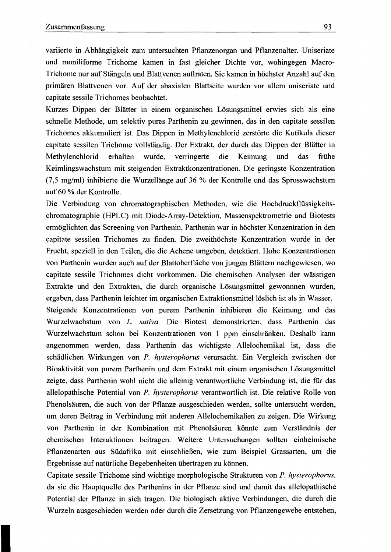variierte in Abhängigkeit zum untersuchten Pflanzenorgan und Pflanzenalter. Uniseriate und moniliforme Trichome kamen in fast gleicher Dichte vor, wohingegen Macro-Trichome nur auf Stängeln und Blattvenen auftraten. Sie kamen in höchster Anzahl auf den primären Blattvenen vor. Auf der abaxialen Blattseite wurden vor allem uniseriate und capitate sessile Trichomes beobachtet.

Kurzes Dippen der Blätter in einem organischen Lösungsmittel erwies sich als eine schnelle Methode, um selektiv pures Parthenin zu gewinnen, das in den capitate sessilen Trichomes akkumuliert ist. Das Dippen in Methylenchlorid zerstörte die Kutikula dieser capitate sessilen Trichome vollständig. Der Extrakt, der durch das Dippen der Blätter in Methylenchlorid erhalten wurde, verringerte die Keimung und das frühe Keimlingswachstum mit steigenden Extraktkonzentrationen. Die geringste Konzentration (7,5 mg/mI) inhibierte die Wurzellänge auf 36 % der Kontrolle und das Sprosswachstum auf 60 % der Kontrolle.

Die Verbindung von chromatographischen Methoden, wie die Hochdruckflüssigkeitschromatographie (HPLC) mit Diode-Array-Detektion, Massenspektrometrie and Biotests ermöglichten das Screening von Parthenin. Parthenin war in höchster Konzentration in den capitate sessilen Trichomes zu finden. Die zweithöchste Konzentration wurde in der Frucht, speziell in den Teilen, die die Achene umgeben, detektiert. Hohe Konzentrationen von Parthenin wurden auch auf der Blattoberfläche von jungen Blättern nachgewiesen, wo capitate sessile Trichomes dicht vorkommen. Die chemischen Analysen der wässrigen Extrakte und den Extrakten, die durch organische Lösungsmittel gewonnnen wurden, ergaben, dass Parthenin leichter im organischen Extraktionsmittellöslich ist als in Wasser.

Steigende Konzentrationen von purem Parthenin inhibieren die Keimung und das Wurzelwachstum von L. *sativa.* Die Biotest demonstrierten, dass Parthenin das Wurzelwachstum schon bei Konzentrationen von 1 ppm einschränken. Deshalb kann angenommen werden, dass Parthenin das wichtigste Allelochemikal ist, dass die schädlichen Wirkungen von *P. hysterophorus* verursacht. Ein Vergleich zwischen der Bioaktivität von purem Parthenin und dem Extrakt mit einem organischen Lösungsmittel zeigte, dass Parthenin wohl nicht die alleinig verantwortliche Verbindung ist, die für das allelopathische Potential von *P. hysterophorus* verantwortlich ist. Die relative Rolle von Phenolsäuren, die auch von der Pflanze ausgeschieden werden, sollte untersucht werden, um deren Beitrag in Verbindung mit anderen Alleiochemikalien zu zeigen. Die Wirkung von Parthenin in der Kombination mit Phenolsäuren könnte zum Verständnis der chemischen Interaktionen beitragen. Weitere Untersuchungen sollten einheimische Pflanzenarten aus Südafrika mit einschließen, wie zum Beispiel Grassarten, um die Ergebnisse auf natürliche Begebenheiten übertragen zu können.

Capitate sessile Trichome sind wichtige morphologische Strukturen von *P. hysterophorus,*  da sie die Hauptquelle des Parthenins in der Pflanze sind und damit das allelopathische Potential der Pflanze in sich tragen. Die biologisch aktive Verbindungen, die durch die Wurzeln ausgeschieden werden oder durch die Zersetzung von Pflanzengewebe entstehen,